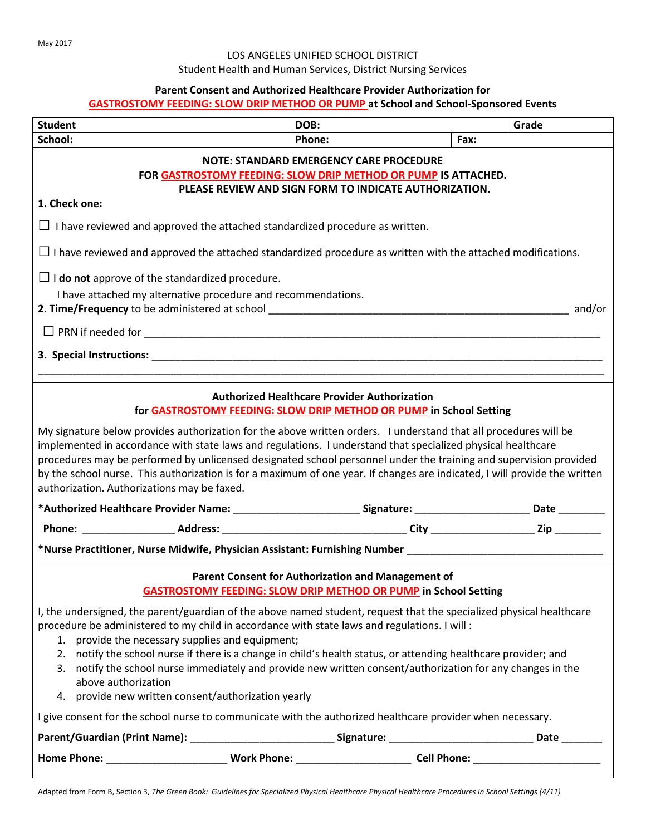# LOS ANGELES UNIFIED SCHOOL DISTRICT

Student Health and Human Services, District Nursing Services

### **Parent Consent and Authorized Healthcare Provider Authorization for**

# **GASTROSTOMY FEEDING: SLOW DRIP METHOD OR PUMP at School and School-Sponsored Events**

| <b>Student</b>                                                                                                                                                                                                                                                                                                                                                                                                                                                                                                                     | DOB:                                                                                                                         |      | Grade |  |  |  |
|------------------------------------------------------------------------------------------------------------------------------------------------------------------------------------------------------------------------------------------------------------------------------------------------------------------------------------------------------------------------------------------------------------------------------------------------------------------------------------------------------------------------------------|------------------------------------------------------------------------------------------------------------------------------|------|-------|--|--|--|
| School:                                                                                                                                                                                                                                                                                                                                                                                                                                                                                                                            | Phone:                                                                                                                       | Fax: |       |  |  |  |
| <b>NOTE: STANDARD EMERGENCY CARE PROCEDURE</b><br>FOR GASTROSTOMY FEEDING: SLOW DRIP METHOD OR PUMP IS ATTACHED.<br>PLEASE REVIEW AND SIGN FORM TO INDICATE AUTHORIZATION.                                                                                                                                                                                                                                                                                                                                                         |                                                                                                                              |      |       |  |  |  |
| 1. Check one:                                                                                                                                                                                                                                                                                                                                                                                                                                                                                                                      |                                                                                                                              |      |       |  |  |  |
| $\Box$ I have reviewed and approved the attached standardized procedure as written.                                                                                                                                                                                                                                                                                                                                                                                                                                                |                                                                                                                              |      |       |  |  |  |
|                                                                                                                                                                                                                                                                                                                                                                                                                                                                                                                                    | $\Box$ I have reviewed and approved the attached standardized procedure as written with the attached modifications.          |      |       |  |  |  |
| $\Box$ <b>I do not</b> approve of the standardized procedure.                                                                                                                                                                                                                                                                                                                                                                                                                                                                      |                                                                                                                              |      |       |  |  |  |
| I have attached my alternative procedure and recommendations.                                                                                                                                                                                                                                                                                                                                                                                                                                                                      |                                                                                                                              |      |       |  |  |  |
|                                                                                                                                                                                                                                                                                                                                                                                                                                                                                                                                    |                                                                                                                              |      |       |  |  |  |
| 3. Special Instructions: North State of the Communication of the Communication of the Communication of the Communication of the Communication of the Communication of the Communication of the Communication of the Communicat                                                                                                                                                                                                                                                                                                     |                                                                                                                              |      |       |  |  |  |
| <b>Authorized Healthcare Provider Authorization</b><br>for GASTROSTOMY FEEDING: SLOW DRIP METHOD OR PUMP in School Setting                                                                                                                                                                                                                                                                                                                                                                                                         |                                                                                                                              |      |       |  |  |  |
|                                                                                                                                                                                                                                                                                                                                                                                                                                                                                                                                    |                                                                                                                              |      |       |  |  |  |
| My signature below provides authorization for the above written orders. I understand that all procedures will be<br>implemented in accordance with state laws and regulations. I understand that specialized physical healthcare<br>procedures may be performed by unlicensed designated school personnel under the training and supervision provided<br>by the school nurse. This authorization is for a maximum of one year. If changes are indicated, I will provide the written<br>authorization. Authorizations may be faxed. |                                                                                                                              |      |       |  |  |  |
|                                                                                                                                                                                                                                                                                                                                                                                                                                                                                                                                    |                                                                                                                              |      |       |  |  |  |
|                                                                                                                                                                                                                                                                                                                                                                                                                                                                                                                                    |                                                                                                                              |      |       |  |  |  |
| Phone: ________________________Address: _________________________________City ______________________Zip ____________<br>*Nurse Practitioner, Nurse Midwife, Physician Assistant: Furnishing Number ___________________________________                                                                                                                                                                                                                                                                                             |                                                                                                                              |      |       |  |  |  |
|                                                                                                                                                                                                                                                                                                                                                                                                                                                                                                                                    | Parent Consent for Authorization and Management of<br><b>GASTROSTOMY FEEDING: SLOW DRIP METHOD OR PUMP in School Setting</b> |      |       |  |  |  |
| I, the undersigned, the parent/guardian of the above named student, request that the specialized physical healthcare<br>procedure be administered to my child in accordance with state laws and regulations. I will :<br>1. provide the necessary supplies and equipment;<br>2. notify the school nurse if there is a change in child's health status, or attending healthcare provider; and<br>3.<br>above authorization<br>provide new written consent/authorization yearly<br>4.                                                | notify the school nurse immediately and provide new written consent/authorization for any changes in the                     |      |       |  |  |  |
| I give consent for the school nurse to communicate with the authorized healthcare provider when necessary.                                                                                                                                                                                                                                                                                                                                                                                                                         |                                                                                                                              |      |       |  |  |  |
|                                                                                                                                                                                                                                                                                                                                                                                                                                                                                                                                    |                                                                                                                              |      |       |  |  |  |